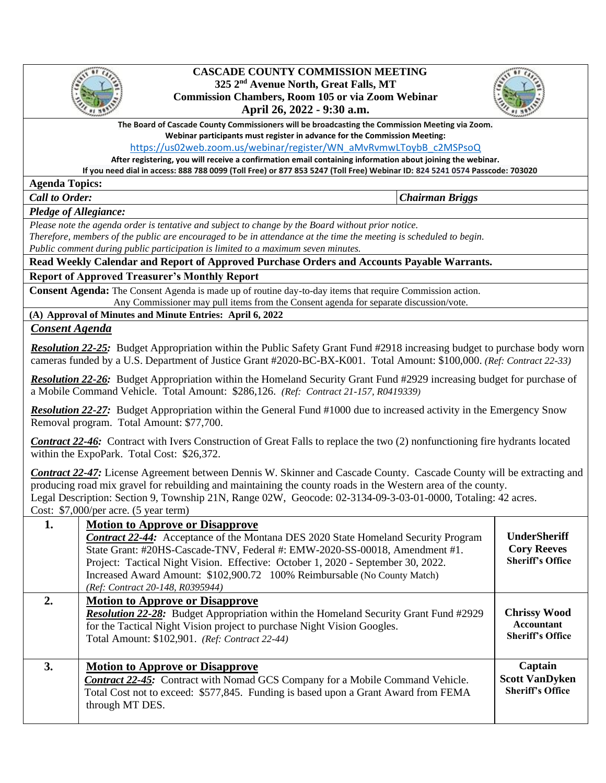

## **CASCADE COUNTY COMMISSION MEETING 325 2nd Avenue North, Great Falls, MT Commission Chambers, Room 105 or via Zoom Webinar April 26, 2022 - 9:30 a.m.**



**The Board of Cascade County Commissioners will be broadcasting the Commission Meeting via Zoom.** 

**Webinar participants must register in advance for the Commission Meeting:** 

[https://us02web.zoom.us/webinar/register/WN\\_aMvRvmwLToybB\\_c2MSPsoQ](https://us02web.zoom.us/webinar/register/WN_aMvRvmwLToybB_c2MSPsoQ)

**After registering, you will receive a confirmation email containing information about joining the webinar.** 

**If you need dial in access: 888 788 0099 (Toll Free) or 877 853 5247 (Toll Free) Webinar ID: 824 5241 0574 Passcode: 703020**

**Agenda Topics:** 

*Call to Order: Chairman Briggs*

*Pledge of Allegiance:* 

 *Please note the agenda order is tentative and subject to change by the Board without prior notice.* 

*Therefore, members of the public are encouraged to be in attendance at the time the meeting is scheduled to begin. Public comment during public participation is limited to a maximum seven minutes.*

**Read Weekly Calendar and Report of Approved Purchase Orders and Accounts Payable Warrants.**

**Report of Approved Treasurer's Monthly Report**

**Consent Agenda:** The Consent Agenda is made up of routine day-to-day items that require Commission action. Any Commissioner may pull items from the Consent agenda for separate discussion/vote.

**(A) Approval of Minutes and Minute Entries: April 6, 2022**

*Consent Agenda*

*Resolution 22-25:* Budget Appropriation within the Public Safety Grant Fund #2918 increasing budget to purchase body worn cameras funded by a U.S. Department of Justice Grant #2020-BC-BX-K001. Total Amount: \$100,000. *(Ref: Contract 22-33)*

*Resolution 22-26:* Budget Appropriation within the Homeland Security Grant Fund #2929 increasing budget for purchase of a Mobile Command Vehicle. Total Amount: \$286,126. *(Ref: Contract 21-157, R0419339)*

*Resolution 22-27:* Budget Appropriation within the General Fund #1000 due to increased activity in the Emergency Snow Removal program. Total Amount: \$77,700.

*Contract 22-46:* Contract with Ivers Construction of Great Falls to replace the two (2) nonfunctioning fire hydrants located within the ExpoPark. Total Cost: \$26,372.

*Contract 22-47:* License Agreement between Dennis W. Skinner and Cascade County. Cascade County will be extracting and producing road mix gravel for rebuilding and maintaining the county roads in the Western area of the county. Legal Description: Section 9, Township 21N, Range 02W, Geocode: 02-3134-09-3-03-01-0000, Totaling: 42 acres. Cost: \$7,000/per acre. (5 year term)

| 1. | <b>Motion to Approve or Disapprove</b><br><b>Contract 22-44:</b> Acceptance of the Montana DES 2020 State Homeland Security Program<br>State Grant: #20HS-Cascade-TNV, Federal #: EMW-2020-SS-00018, Amendment #1.<br>Project: Tactical Night Vision. Effective: October 1, 2020 - September 30, 2022.<br>Increased Award Amount: \$102,900.72 100% Reimbursable (No County Match)<br>(Ref: Contract 20-148, R0395944) | <b>UnderSheriff</b><br><b>Cory Reeves</b><br><b>Sheriff's Office</b> |
|----|------------------------------------------------------------------------------------------------------------------------------------------------------------------------------------------------------------------------------------------------------------------------------------------------------------------------------------------------------------------------------------------------------------------------|----------------------------------------------------------------------|
| 2. | <b>Motion to Approve or Disapprove</b><br><b>Resolution 22-28:</b> Budget Appropriation within the Homeland Security Grant Fund #2929<br>for the Tactical Night Vision project to purchase Night Vision Googles.<br>Total Amount: \$102,901. (Ref: Contract 22-44)                                                                                                                                                     | <b>Chrissy Wood</b><br>Accountant<br><b>Sheriff's Office</b>         |
| 3. | <b>Motion to Approve or Disapprove</b><br><b>Contract 22-45:</b> Contract with Nomad GCS Company for a Mobile Command Vehicle.<br>Total Cost not to exceed: \$577,845. Funding is based upon a Grant Award from FEMA<br>through MT DES.                                                                                                                                                                                | Captain<br><b>Scott VanDyken</b><br><b>Sheriff's Office</b>          |